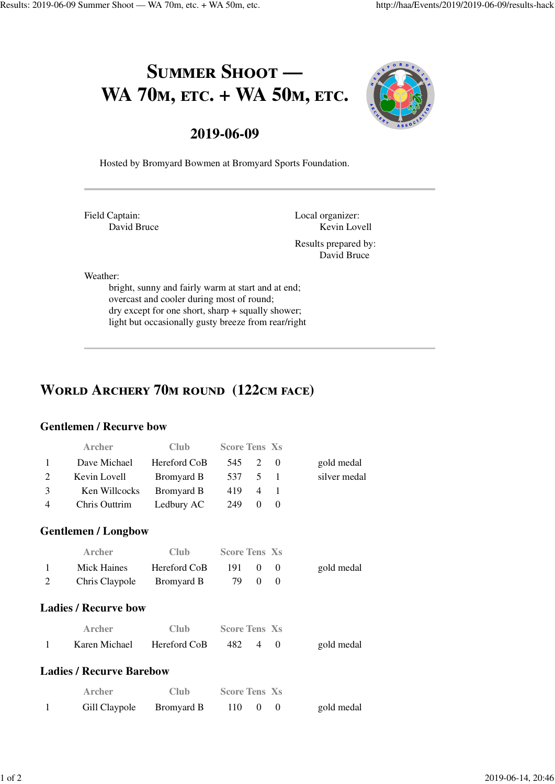# SUMMER SHOOT -WA 70<sub>M</sub>, ETC. + WA 50<sub>M</sub>, ETC.



### **2019-06-09**

Hosted by Bromyard Bowmen at Bromyard Sports Foundation.

Field Captain: David Bruce Local organizer: Kevin Lovell Results prepared by:

David Bruce

Weather:

bright, sunny and fairly warm at start and at end; overcast and cooler during most of round; dry except for one short, sharp + squally shower; light but occasionally gusty breeze from rear/right

### **WORLD ARCHERY 70M ROUND (122CM FACE)**

#### **Gentlemen / Recurve bow**

|                | Archer                          | Club              | <b>Score Tens Xs</b> |                |              |              |
|----------------|---------------------------------|-------------------|----------------------|----------------|--------------|--------------|
| 1              | Dave Michael                    | Hereford CoB      | 545                  | 2              | $\Omega$     | gold medal   |
| 2              | Kevin Lovell                    | <b>Bromyard B</b> | 537                  | 5              | $\mathbf{1}$ | silver medal |
| 3              | Ken Willcocks                   | <b>Bromyard B</b> | 419                  | 4              | $\mathbf{1}$ |              |
| $\overline{4}$ | Chris Outtrim                   | Ledbury AC        | 249                  | $\Omega$       | $\Omega$     |              |
|                | <b>Gentlemen / Longbow</b>      |                   |                      |                |              |              |
|                | Archer                          | Club              | <b>Score Tens Xs</b> |                |              |              |
| 1              | <b>Mick Haines</b>              | Hereford CoB      | 191                  | $\theta$       | $\theta$     | gold medal   |
| 2              | Chris Claypole                  | <b>Bromyard B</b> | 79                   | $\Omega$       | $\Omega$     |              |
|                | <b>Ladies / Recurve bow</b>     |                   |                      |                |              |              |
|                | <b>Archer</b>                   | Club              | <b>Score Tens Xs</b> |                |              |              |
| 1              | Karen Michael                   | Hereford CoB      | 482                  | $\overline{4}$ | $\Omega$     | gold medal   |
|                | <b>Ladies / Recurve Barebow</b> |                   |                      |                |              |              |
|                | <b>Archer</b>                   | Club              | <b>Score Tens Xs</b> |                |              |              |
| 1              | Gill Claypole                   | Bromyard B        | 110                  | 0              | $\theta$     | gold medal   |